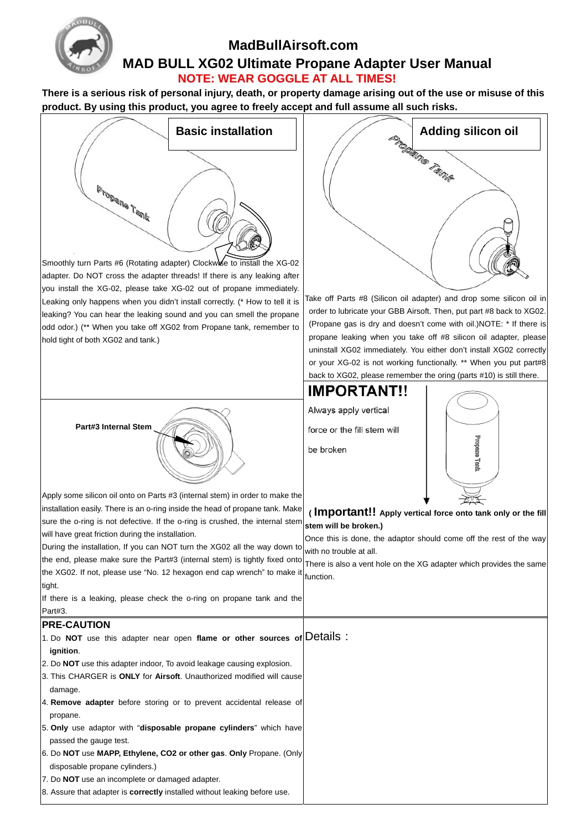

# **MadBullAirsoft.com MAD BULL XG02 Ultimate Propane Adapter User Manual NOTE: WEAR GOGGLE AT ALL TIMES!**

**There is a serious risk of personal injury, death, or property damage arising out of the use or misuse of this product. By using this product, you agree to freely accept and full assume all such risks.**



8. Assure that adapter is **correctly** installed without leaking before use.



Take off Parts #8 (Silicon oil adapter) and drop some silicon oil in order to lubricate your GBB Airsoft. Then, put part #8 back to XG02. (Propane gas is dry and doesn't come with oil.)NOTE: \* If there is propane leaking when you take off #8 silicon oil adapter, please uninstall XG02 immediately. You either don't install XG02 correctly or your XG-02 is not working functionally. \*\* When you put part#8 back to XG02, please remember the oring (parts #10) is still there.



 **( Important!! Apply vertical force onto tank only or the fill** 

Once this is done, the adaptor should come off the rest of the way

There is also a vent hole on the XG adapter which provides the same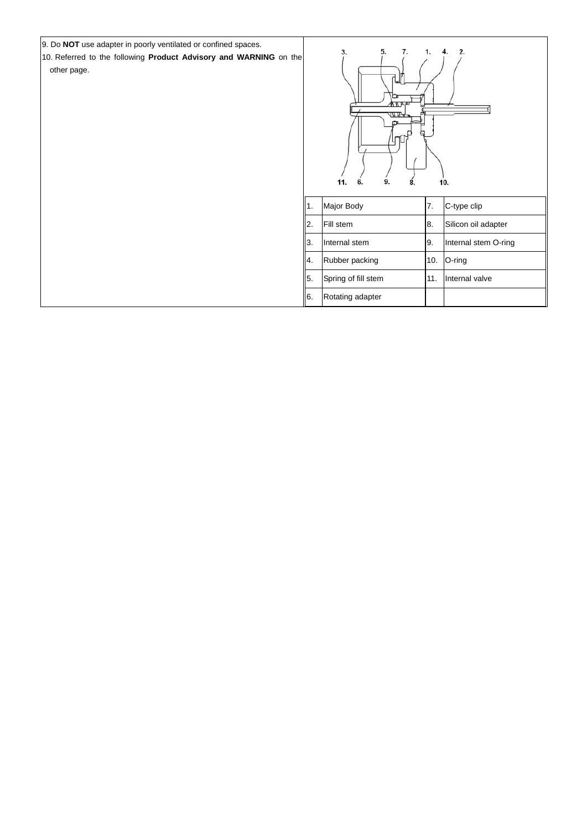9. Do **NOT** use adapter in poorly ventilated or confined spaces. 10. Referred to the following **Product Advisory and WARNING** on the other page.

| 5.<br>2.<br>3.<br>4.<br><u>ਪਰ ਸ਼ੁਢ</u><br>11.<br>6.<br>10.<br>9.<br>8. |                     |     |                      |
|------------------------------------------------------------------------|---------------------|-----|----------------------|
| $\sqrt{1}$ .                                                           | Major Body          | 7.  | C-type clip          |
| 2.                                                                     | Fill stem           | 8.  | Silicon oil adapter  |
| 3.                                                                     | Internal stem       | 9.  | Internal stem O-ring |
| $\vert_4$                                                              | Rubber packing      | 10. | O-ring               |
| 5.                                                                     | Spring of fill stem | 11. | Internal valve       |
| 6.                                                                     | Rotating adapter    |     |                      |